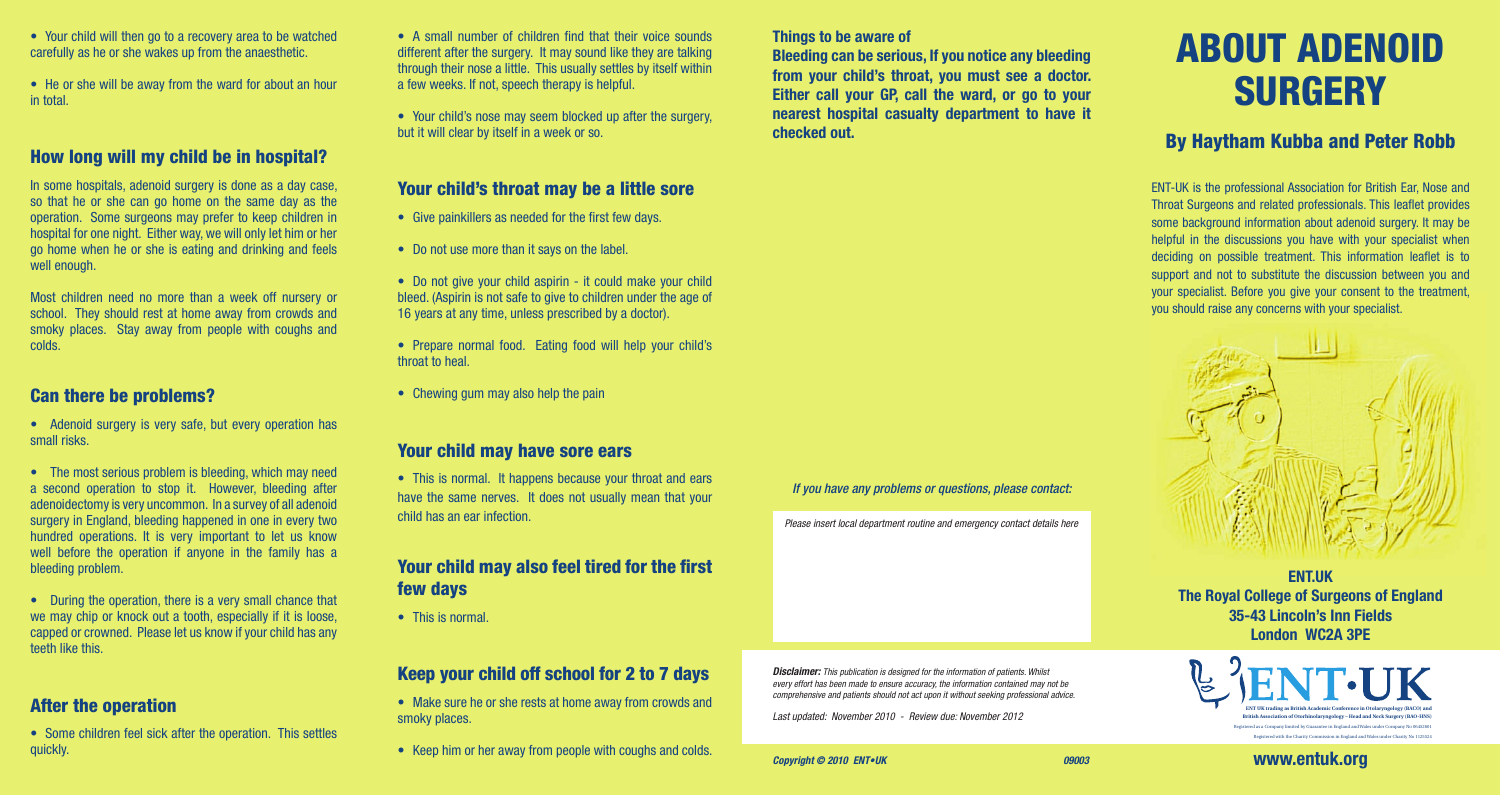- Your child will then go to a recovery area to be watched carefully as he or she wakes up from the anaesthetic.
- He or she will be away from the ward for about an hour in total.

## How long will my child be in hospital?

In some hospitals, adenoid surgery is done as a day case, so that he or she can go home on the same day as the operation. Some surgeons may prefer to keep children in hospital for one night. Either way, we will only let him or her go home when he or she is eating and drinking and feels well enough.

Most children need no more than a week off nursery or school. They should rest at home away from crowds and smoky places. Stay away from people with coughs and colds.

## Can there be problems?

• Adenoid surgery is very safe, but every operation has small risks.

• The most serious problem is bleeding, which may need a second operation to stop it. However, bleeding after adenoidectomy is very uncommon. In a survey of all adenoid surgery in England, bleeding happened in one in every two hundred operations. It is very important to let us know well before the operation if anyone in the family has a bleeding problem.

• During the operation, there is a very small chance that we may chip or knock out a tooth, especially if it is loose, capped or crowned. Please let us know if your child has any teeth like this.

## After the operation

• Some children feel sick after the operation. This settles quickly.

• A small number of children find that their voice sounds different after the surgery. It may sound like they are talking through their nose a little. This usually settles by itself within a few weeks. If not, speech therapy is helpful.

• Your child's nose may seem blocked up after the surgery, but it will clear by itself in a week or so.

### Your child's throat may be a little sore

- Give painkillers as needed for the first few days.
- Do not use more than it says on the label.
- Do not give your child aspirin it could make your child bleed. (Aspirin is not safe to give to children under the age of 16 years at any time, unless prescribed by a doctor).
- Prepare normal food. Eating food will help your child's throat to heal.
- Chewing gum may also help the pain

## Your child may have sore ears

• This is normal. It happens because your throat and ears have the same nerves. It does not usually mean that your child has an ear infection.

## Your child may also feel tired for the first few days

• This is normal.

# Keep your child off school for 2 to 7 days

- Make sure he or she rests at home away from crowds and smoky places.
- Keep him or her away from people with coughs and colds.

## **Things to be aware of**

**Bleeding can be serious, If you notice any bleeding from your child's throat, you must see a doctor. Either call your GP, call the ward, or go to your nearest hospital casualty department to have it checked out.** 

#### *If you have any problems or questions, please contact:*

*Please insert local department routine and emergency contact details here*

*Disclaimer: This publication is designed for the information of patients. Whilst every effort has been made to ensure accuracy, the information contained may not be comprehensive and patients should not act upon it without seeking professional advice.*

*Last updated: November 2010 - Review due: November 2012* 

# ABOUT ADENOID **SURGERY**

# By Haytham Kubba and Peter Robb

ENT-UK is the professional Association for British Ear, Nose and Throat Surgeons and related professionals. This leaflet provides some background information about adenoid surgery. It may be helpful in the discussions you have with your specialist when deciding on possible treatment. This information leaflet is to support and not to substitute the discussion between you and your specialist. Before you give your consent to the treatment, you should raise any concerns with your specialist.



**ENT.UK The Royal College of Surgeons of England 35-43 Lincoln's Inn Fields London WC2A 3PE**



**www.entuk.org**

Registered with the Charity Commission in England and Wales under Charity No 1125524